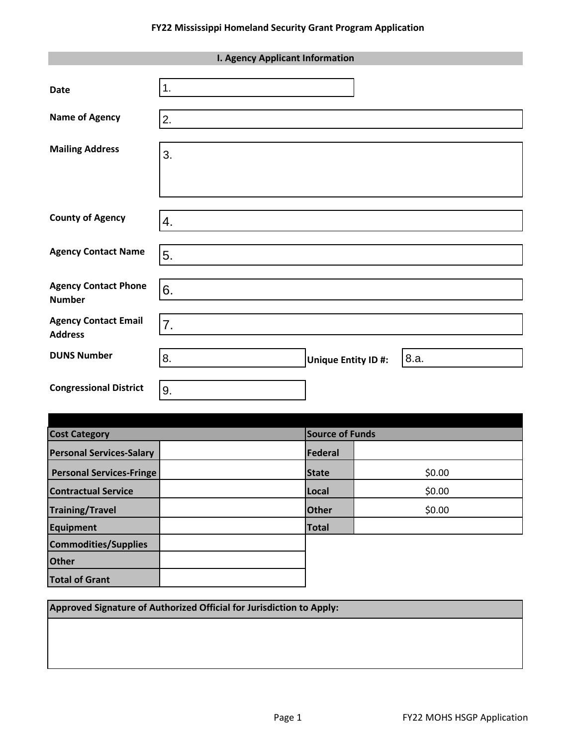| <b>I. Agency Applicant Information</b>        |    |                                   |
|-----------------------------------------------|----|-----------------------------------|
| <b>Date</b>                                   | 1. |                                   |
| <b>Name of Agency</b>                         | 2. |                                   |
| <b>Mailing Address</b>                        | 3. |                                   |
| <b>County of Agency</b>                       | 4. |                                   |
| <b>Agency Contact Name</b>                    | 5. |                                   |
| <b>Agency Contact Phone</b><br><b>Number</b>  | 6. |                                   |
| <b>Agency Contact Email</b><br><b>Address</b> | 7. |                                   |
| <b>DUNS Number</b>                            | 8. | 8.a.<br><b>Unique Entity ID#:</b> |
| <b>Congressional District</b>                 | 9. |                                   |

| <b>Cost Category</b>            |  | Source of Funds |        |  |
|---------------------------------|--|-----------------|--------|--|
| <b>Personal Services-Salary</b> |  | Federal         |        |  |
| <b>Personal Services-Fringe</b> |  | <b>State</b>    | \$0.00 |  |
| <b>Contractual Service</b>      |  | Local           | \$0.00 |  |
| <b>Training/Travel</b>          |  | <b>Other</b>    | \$0.00 |  |
| Equipment                       |  | <b>Total</b>    |        |  |
| <b>Commodities/Supplies</b>     |  |                 |        |  |
| <b>Other</b>                    |  |                 |        |  |
| <b>Total of Grant</b>           |  |                 |        |  |

**Approved Signature of Authorized Official for Jurisdiction to Apply:**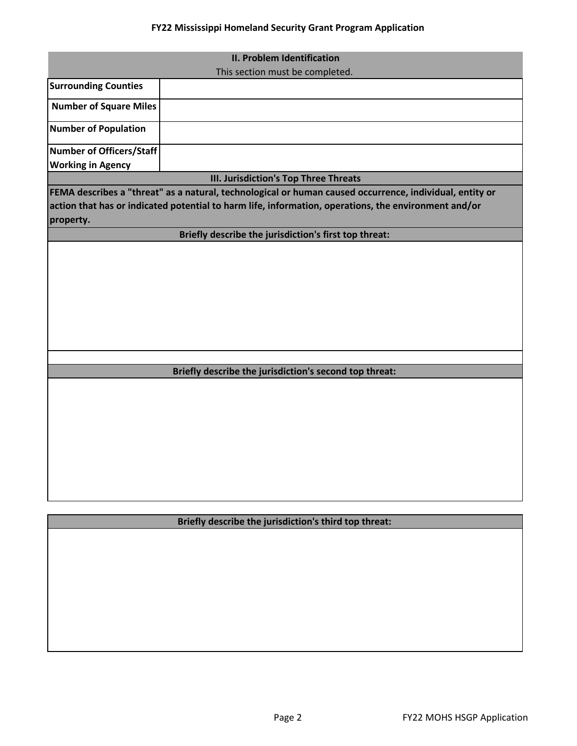## **FY22 Mississippi Homeland Security Grant Program Application**

| <b>II. Problem Identification</b> |                                                                                                         |  |
|-----------------------------------|---------------------------------------------------------------------------------------------------------|--|
|                                   | This section must be completed.                                                                         |  |
| <b>Surrounding Counties</b>       |                                                                                                         |  |
| <b>Number of Square Miles</b>     |                                                                                                         |  |
| <b>Number of Population</b>       |                                                                                                         |  |
| <b>Number of Officers/Staff</b>   |                                                                                                         |  |
| <b>Working in Agency</b>          |                                                                                                         |  |
|                                   | III. Jurisdiction's Top Three Threats                                                                   |  |
|                                   | FEMA describes a "threat" as a natural, technological or human caused occurrence, individual, entity or |  |
|                                   | action that has or indicated potential to harm life, information, operations, the environment and/or    |  |
| property.                         |                                                                                                         |  |
|                                   | Briefly describe the jurisdiction's first top threat:                                                   |  |
|                                   |                                                                                                         |  |
|                                   |                                                                                                         |  |
|                                   |                                                                                                         |  |
|                                   |                                                                                                         |  |
|                                   |                                                                                                         |  |
|                                   |                                                                                                         |  |
|                                   |                                                                                                         |  |
|                                   |                                                                                                         |  |
|                                   |                                                                                                         |  |
|                                   |                                                                                                         |  |
|                                   | Briefly describe the jurisdiction's second top threat:                                                  |  |
|                                   |                                                                                                         |  |
|                                   |                                                                                                         |  |
|                                   |                                                                                                         |  |
|                                   |                                                                                                         |  |
|                                   |                                                                                                         |  |
|                                   |                                                                                                         |  |
|                                   |                                                                                                         |  |
|                                   |                                                                                                         |  |
|                                   |                                                                                                         |  |
|                                   |                                                                                                         |  |

**Briefly describe the jurisdiction's third top threat:**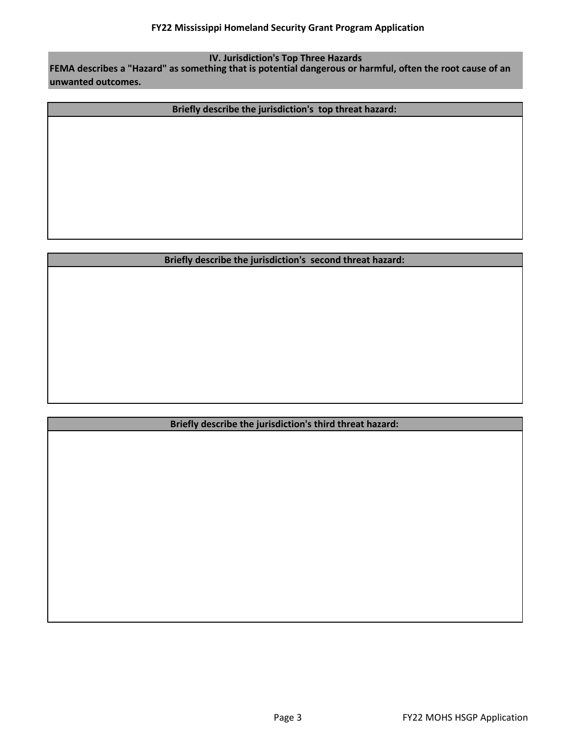**IV. Jurisdiction's Top Three Hazards**

**FEMA describes a "Hazard" as something that is potential dangerous or harmful, often the root cause of an unwanted outcomes.** 

**Briefly describe the jurisdiction's top threat hazard:** 

## **Briefly describe the jurisdiction's second threat hazard:**

## **Briefly describe the jurisdiction's third threat hazard:**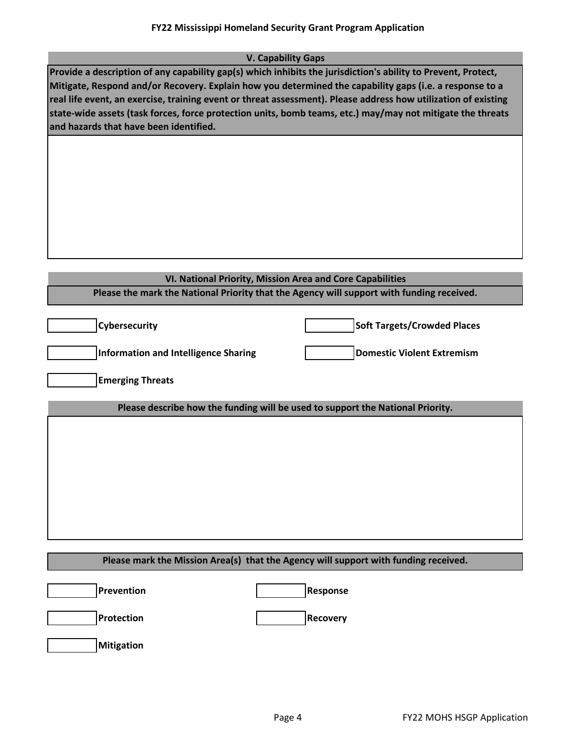| <b>V. Capability Gaps</b>                                                                                      |
|----------------------------------------------------------------------------------------------------------------|
| Provide a description of any capability gap(s) which inhibits the jurisdiction's ability to Prevent, Protect,  |
| Mitigate, Respond and/or Recovery. Explain how you determined the capability gaps (i.e. a response to a        |
| real life event, an exercise, training event or threat assessment). Please address how utilization of existing |
| state-wide assets (task forces, force protection units, bomb teams, etc.) may/may not mitigate the threats     |
| and hazards that have been identified.                                                                         |
|                                                                                                                |
|                                                                                                                |

| VI. National Priority, Mission Area and Core Capabilities                                 |                                    |  |
|-------------------------------------------------------------------------------------------|------------------------------------|--|
| Please the mark the National Priority that the Agency will support with funding received. |                                    |  |
|                                                                                           |                                    |  |
| <b>Cybersecurity</b>                                                                      | <b>Soft Targets/Crowded Places</b> |  |
| <b>Information and Intelligence Sharing</b>                                               | <b>Domestic Violent Extremism</b>  |  |
| <b>Emerging Threats</b>                                                                   |                                    |  |
| Please describe how the funding will be used to support the National Priority.            |                                    |  |
|                                                                                           |                                    |  |
|                                                                                           |                                    |  |
|                                                                                           |                                    |  |
|                                                                                           |                                    |  |
|                                                                                           |                                    |  |
|                                                                                           |                                    |  |
|                                                                                           |                                    |  |

# **Prevention Protection Mitigation Please mark the Mission Area(s) that the Agency will support with funding received.**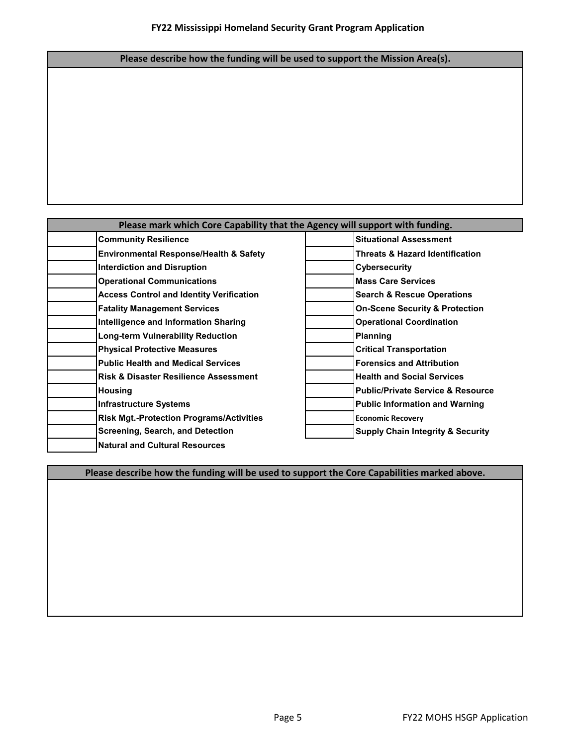## **Please describe how the funding will be used to support the Mission Area(s).**

| Please mark which Core Capability that the Agency will support with funding. |                                              |  |
|------------------------------------------------------------------------------|----------------------------------------------|--|
| <b>Community Resilience</b>                                                  | <b>Situational Assessment</b>                |  |
| <b>Environmental Response/Health &amp; Safety</b>                            | <b>Threats &amp; Hazard Identification</b>   |  |
| <b>Interdiction and Disruption</b>                                           | <b>Cybersecurity</b>                         |  |
| <b>Operational Communications</b>                                            | <b>Mass Care Services</b>                    |  |
| <b>Access Control and Identity Verification</b>                              | <b>Search &amp; Rescue Operations</b>        |  |
| <b>Fatality Management Services</b>                                          | <b>On-Scene Security &amp; Protection</b>    |  |
| Intelligence and Information Sharing                                         | <b>Operational Coordination</b>              |  |
| <b>Long-term Vulnerability Reduction</b>                                     | <b>Planning</b>                              |  |
| <b>Physical Protective Measures</b>                                          | <b>Critical Transportation</b>               |  |
| <b>Public Health and Medical Services</b>                                    | <b>Forensics and Attribution</b>             |  |
| <b>Risk &amp; Disaster Resilience Assessment</b>                             | <b>Health and Social Services</b>            |  |
| <b>Housing</b>                                                               | <b>Public/Private Service &amp; Resource</b> |  |
| <b>Infrastructure Systems</b>                                                | <b>Public Information and Warning</b>        |  |
| <b>Risk Mgt.-Protection Programs/Activities</b>                              | <b>Economic Recovery</b>                     |  |
| Screening, Search, and Detection                                             | <b>Supply Chain Integrity &amp; Security</b> |  |
| <b>Natural and Cultural Resources</b>                                        |                                              |  |

**Please describe how the funding will be used to support the Core Capabilities marked above.**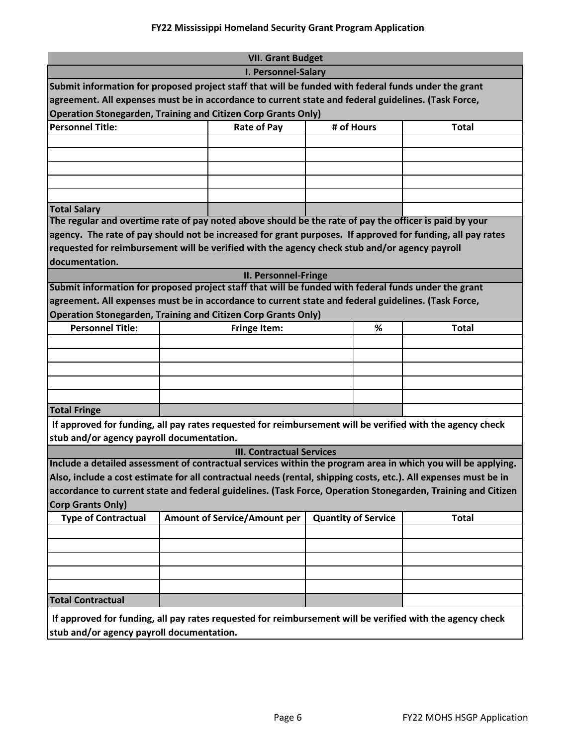| <b>VII. Grant Budget</b>                                                                                        |                                                                                   |                                  |            |   |                                                                                                              |
|-----------------------------------------------------------------------------------------------------------------|-----------------------------------------------------------------------------------|----------------------------------|------------|---|--------------------------------------------------------------------------------------------------------------|
| I. Personnel-Salary                                                                                             |                                                                                   |                                  |            |   |                                                                                                              |
| Submit information for proposed project staff that will be funded with federal funds under the grant            |                                                                                   |                                  |            |   |                                                                                                              |
| agreement. All expenses must be in accordance to current state and federal guidelines. (Task Force,             |                                                                                   |                                  |            |   |                                                                                                              |
| <b>Operation Stonegarden, Training and Citizen Corp Grants Only)</b>                                            |                                                                                   |                                  |            |   |                                                                                                              |
| <b>Personnel Title:</b>                                                                                         |                                                                                   | <b>Rate of Pay</b>               | # of Hours |   | <b>Total</b>                                                                                                 |
|                                                                                                                 |                                                                                   |                                  |            |   |                                                                                                              |
|                                                                                                                 |                                                                                   |                                  |            |   |                                                                                                              |
|                                                                                                                 |                                                                                   |                                  |            |   |                                                                                                              |
|                                                                                                                 |                                                                                   |                                  |            |   |                                                                                                              |
|                                                                                                                 |                                                                                   |                                  |            |   |                                                                                                              |
| <b>Total Salary</b>                                                                                             |                                                                                   |                                  |            |   |                                                                                                              |
| The regular and overtime rate of pay noted above should be the rate of pay the officer is paid by your          |                                                                                   |                                  |            |   |                                                                                                              |
| agency. The rate of pay should not be increased for grant purposes. If approved for funding, all pay rates      |                                                                                   |                                  |            |   |                                                                                                              |
| requested for reimbursement will be verified with the agency check stub and/or agency payroll                   |                                                                                   |                                  |            |   |                                                                                                              |
| documentation.                                                                                                  |                                                                                   |                                  |            |   |                                                                                                              |
|                                                                                                                 |                                                                                   | <b>II. Personnel-Fringe</b>      |            |   |                                                                                                              |
| Submit information for proposed project staff that will be funded with federal funds under the grant            |                                                                                   |                                  |            |   |                                                                                                              |
| agreement. All expenses must be in accordance to current state and federal guidelines. (Task Force,             |                                                                                   |                                  |            |   |                                                                                                              |
| <b>Operation Stonegarden, Training and Citizen Corp Grants Only)</b>                                            |                                                                                   |                                  |            |   |                                                                                                              |
| <b>Personnel Title:</b>                                                                                         |                                                                                   | <b>Fringe Item:</b>              |            | % | <b>Total</b>                                                                                                 |
|                                                                                                                 |                                                                                   |                                  |            |   |                                                                                                              |
|                                                                                                                 |                                                                                   |                                  |            |   |                                                                                                              |
|                                                                                                                 |                                                                                   |                                  |            |   |                                                                                                              |
|                                                                                                                 |                                                                                   |                                  |            |   |                                                                                                              |
|                                                                                                                 |                                                                                   |                                  |            |   |                                                                                                              |
| <b>Total Fringe</b>                                                                                             |                                                                                   |                                  |            |   |                                                                                                              |
| If approved for funding, all pay rates requested for reimbursement will be verified with the agency check       |                                                                                   |                                  |            |   |                                                                                                              |
| stub and/or agency payroll documentation.                                                                       |                                                                                   |                                  |            |   |                                                                                                              |
|                                                                                                                 |                                                                                   | <b>III. Contractual Services</b> |            |   |                                                                                                              |
|                                                                                                                 |                                                                                   |                                  |            |   | Include a detailed assessment of contractual services within the program area in which you will be applying. |
| Also, include a cost estimate for all contractual needs (rental, shipping costs, etc.). All expenses must be in |                                                                                   |                                  |            |   |                                                                                                              |
|                                                                                                                 |                                                                                   |                                  |            |   | accordance to current state and federal guidelines. (Task Force, Operation Stonegarden, Training and Citizen |
| <b>Corp Grants Only)</b>                                                                                        |                                                                                   |                                  |            |   |                                                                                                              |
| <b>Type of Contractual</b>                                                                                      | <b>Amount of Service/Amount per</b><br><b>Quantity of Service</b><br><b>Total</b> |                                  |            |   |                                                                                                              |
|                                                                                                                 |                                                                                   |                                  |            |   |                                                                                                              |
|                                                                                                                 |                                                                                   |                                  |            |   |                                                                                                              |
|                                                                                                                 |                                                                                   |                                  |            |   |                                                                                                              |
|                                                                                                                 |                                                                                   |                                  |            |   |                                                                                                              |
|                                                                                                                 |                                                                                   |                                  |            |   |                                                                                                              |
| <b>Total Contractual</b>                                                                                        |                                                                                   |                                  |            |   |                                                                                                              |
| If approved for funding, all pay rates requested for reimbursement will be verified with the agency check       |                                                                                   |                                  |            |   |                                                                                                              |
| stub and/or agency payroll documentation.                                                                       |                                                                                   |                                  |            |   |                                                                                                              |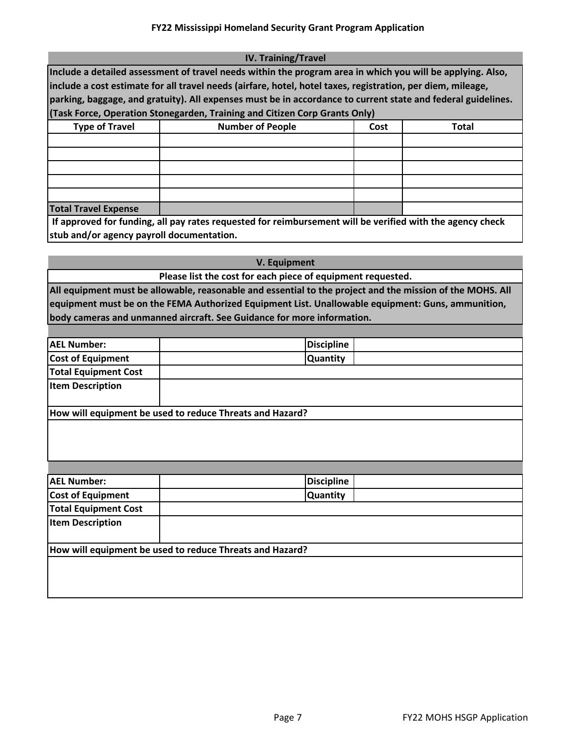| <b>IV. Training/Travel</b>                                                                                                                                                                                                                                                                                                                                                                                              |                         |      |              |  |  |  |
|-------------------------------------------------------------------------------------------------------------------------------------------------------------------------------------------------------------------------------------------------------------------------------------------------------------------------------------------------------------------------------------------------------------------------|-------------------------|------|--------------|--|--|--|
| Include a detailed assessment of travel needs within the program area in which you will be applying. Also,<br>include a cost estimate for all travel needs (airfare, hotel, hotel taxes, registration, per diem, mileage,<br>parking, baggage, and gratuity). All expenses must be in accordance to current state and federal guidelines.<br>(Task Force, Operation Stonegarden, Training and Citizen Corp Grants Only) |                         |      |              |  |  |  |
|                                                                                                                                                                                                                                                                                                                                                                                                                         |                         |      |              |  |  |  |
| <b>Type of Travel</b>                                                                                                                                                                                                                                                                                                                                                                                                   | <b>Number of People</b> | Cost | <b>Total</b> |  |  |  |
|                                                                                                                                                                                                                                                                                                                                                                                                                         |                         |      |              |  |  |  |
|                                                                                                                                                                                                                                                                                                                                                                                                                         |                         |      |              |  |  |  |
|                                                                                                                                                                                                                                                                                                                                                                                                                         |                         |      |              |  |  |  |
|                                                                                                                                                                                                                                                                                                                                                                                                                         |                         |      |              |  |  |  |
|                                                                                                                                                                                                                                                                                                                                                                                                                         |                         |      |              |  |  |  |
| <b>Total Travel Expense</b>                                                                                                                                                                                                                                                                                                                                                                                             |                         |      |              |  |  |  |
| If approved for funding, all pay rates requested for reimbursement will be verified with the agency check                                                                                                                                                                                                                                                                                                               |                         |      |              |  |  |  |
| stub and/or agency payroll documentation.                                                                                                                                                                                                                                                                                                                                                                               |                         |      |              |  |  |  |

| V. Equipment                                                                                              |
|-----------------------------------------------------------------------------------------------------------|
| Please list the cost for each piece of equipment requested.                                               |
| All equipment must be allowable, reasonable and essential to the project and the mission of the MOHS. All |
| equipment must be on the FEMA Authorized Equipment List. Unallowable equipment: Guns, ammunition,         |
| body cameras and unmanned aircraft. See Guidance for more information.                                    |
|                                                                                                           |

| <b>AEL Number:</b>                                       | <b>Discipline</b> |  |
|----------------------------------------------------------|-------------------|--|
| <b>Cost of Equipment</b>                                 | <b>Quantity</b>   |  |
| <b>Total Equipment Cost</b>                              |                   |  |
| <b>Item Description</b>                                  |                   |  |
|                                                          |                   |  |
| How will equipment be used to reduce Threats and Hazard? |                   |  |
|                                                          |                   |  |

| <b>AEL Number:</b>          | <b>Discipline</b>                                        |
|-----------------------------|----------------------------------------------------------|
| <b>Cost of Equipment</b>    | <b>Quantity</b>                                          |
| <b>Total Equipment Cost</b> |                                                          |
| <b>Item Description</b>     |                                                          |
|                             | How will equipment be used to reduce Threats and Hazard? |
|                             |                                                          |
|                             |                                                          |
|                             |                                                          |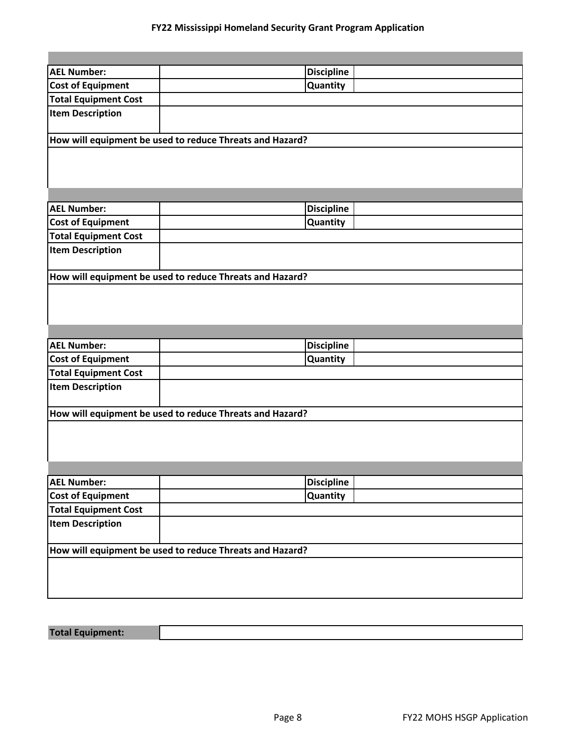| <b>AEL Number:</b>                                       | <b>Discipline</b> |
|----------------------------------------------------------|-------------------|
| <b>Cost of Equipment</b>                                 | <b>Quantity</b>   |
| <b>Total Equipment Cost</b>                              |                   |
| <b>Item Description</b>                                  |                   |
| How will equipment be used to reduce Threats and Hazard? |                   |
|                                                          |                   |
|                                                          |                   |
|                                                          |                   |
|                                                          |                   |

| <b>AEL Number:</b>                                       | <b>Discipline</b> |  |
|----------------------------------------------------------|-------------------|--|
| <b>Cost of Equipment</b>                                 | <b>Quantity</b>   |  |
| <b>Total Equipment Cost</b>                              |                   |  |
| <b>Item Description</b>                                  |                   |  |
|                                                          |                   |  |
| How will equipment be used to reduce Threats and Hazard? |                   |  |

| <b>AEL Number:</b>                                       | <b>Discipline</b> |  |
|----------------------------------------------------------|-------------------|--|
| <b>Cost of Equipment</b>                                 | <b>Quantity</b>   |  |
| <b>Total Equipment Cost</b>                              |                   |  |
| <b>Item Description</b>                                  |                   |  |
|                                                          |                   |  |
| How will equipment be used to reduce Threats and Hazard? |                   |  |
|                                                          |                   |  |

| <b>AEL Number:</b>                                       |  | <b>Discipline</b> |  |
|----------------------------------------------------------|--|-------------------|--|
| <b>Cost of Equipment</b>                                 |  | <b>Quantity</b>   |  |
| <b>Total Equipment Cost</b>                              |  |                   |  |
| <b>Item Description</b>                                  |  |                   |  |
|                                                          |  |                   |  |
| How will equipment be used to reduce Threats and Hazard? |  |                   |  |
|                                                          |  |                   |  |
|                                                          |  |                   |  |
|                                                          |  |                   |  |

# **Total Equipment:**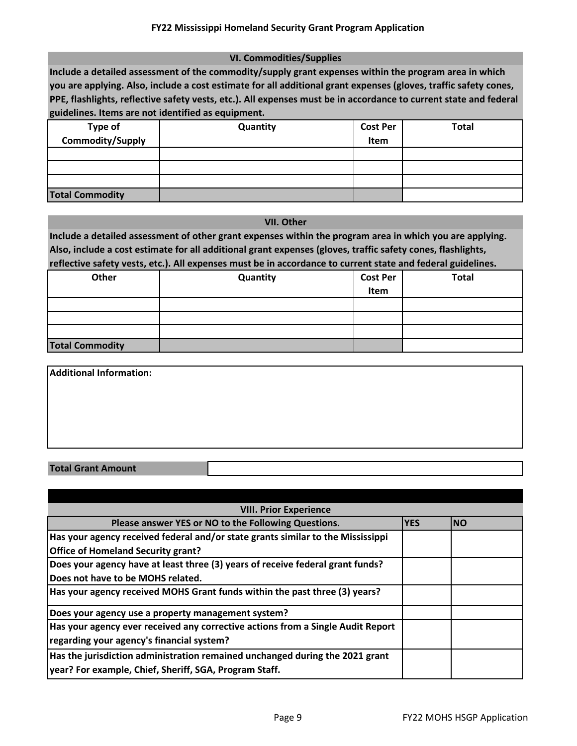#### **VI. Commodities/Supplies**

**Include a detailed assessment of the commodity/supply grant expenses within the program area in which you are applying. Also, include a cost estimate for all additional grant expenses (gloves, traffic safety cones, PPE, flashlights, reflective safety vests, etc.). All expenses must be in accordance to current state and federal guidelines. Items are not identified as equipment.** 

|                             | Quantity | <b>Cost Per</b> | <b>Total</b> |
|-----------------------------|----------|-----------------|--------------|
| Type of<br>Commodity/Supply |          | Item            |              |
|                             |          |                 |              |
|                             |          |                 |              |
|                             |          |                 |              |
| <b>Total Commodity</b>      |          |                 |              |

#### **VII. Other**

**Include a detailed assessment of other grant expenses within the program area in which you are applying. Also, include a cost estimate for all additional grant expenses (gloves, traffic safety cones, flashlights, reflective safety vests, etc.). All expenses must be in accordance to current state and federal guidelines.** 

|                        |          |                 | $\tilde{\phantom{a}}$ |
|------------------------|----------|-----------------|-----------------------|
| Other                  | Quantity | <b>Cost Per</b> | <b>Total</b>          |
|                        |          | Item            |                       |
|                        |          |                 |                       |
|                        |          |                 |                       |
|                        |          |                 |                       |
| <b>Total Commodity</b> |          |                 |                       |

| Additional Information: |  |  |
|-------------------------|--|--|
|                         |  |  |
|                         |  |  |
|                         |  |  |
|                         |  |  |

#### **Total Grant Amount**

| <b>VIII. Prior Experience</b>                                                   |            |            |  |
|---------------------------------------------------------------------------------|------------|------------|--|
| Please answer YES or NO to the Following Questions.                             | <b>YES</b> | <b>INO</b> |  |
| Has your agency received federal and/or state grants similar to the Mississippi |            |            |  |
| <b>Office of Homeland Security grant?</b>                                       |            |            |  |
| Does your agency have at least three (3) years of receive federal grant funds?  |            |            |  |
| Does not have to be MOHS related.                                               |            |            |  |
| Has your agency received MOHS Grant funds within the past three (3) years?      |            |            |  |
| Does your agency use a property management system?                              |            |            |  |
| Has your agency ever received any corrective actions from a Single Audit Report |            |            |  |
| regarding your agency's financial system?                                       |            |            |  |
| Has the jurisdiction administration remained unchanged during the 2021 grant    |            |            |  |
| year? For example, Chief, Sheriff, SGA, Program Staff.                          |            |            |  |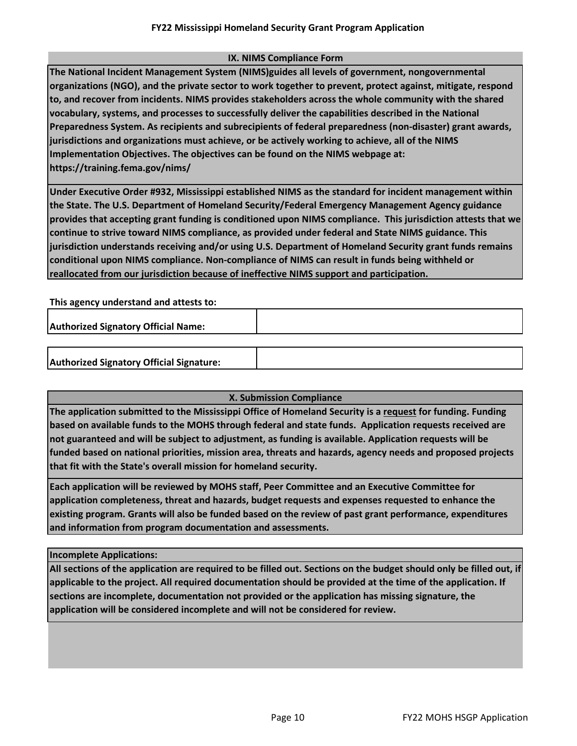#### **IX. NIMS Compliance Form**

**The National Incident Management System (NIMS)guides all levels of government, nongovernmental organizations (NGO), and the private sector to work together to prevent, protect against, mitigate, respond to, and recover from incidents. NIMS provides stakeholders across the whole community with the shared vocabulary, systems, and processes to successfully deliver the capabilities described in the National Preparedness System. As recipients and subrecipients of federal preparedness (non-disaster) grant awards, jurisdictions and organizations must achieve, or be actively working to achieve, all of the NIMS Implementation Objectives. The objectives can be found on the NIMS webpage at: https://training.fema.gov/nims/** 

**Under Executive Order #932, Mississippi established NIMS as the standard for incident management within the State. The U.S. Department of Homeland Security/Federal Emergency Management Agency guidance provides that accepting grant funding is conditioned upon NIMS compliance. This jurisdiction attests that we continue to strive toward NIMS compliance, as provided under federal and State NIMS guidance. This jurisdiction understands receiving and/or using U.S. Department of Homeland Security grant funds remains conditional upon NIMS compliance. Non-compliance of NIMS can result in funds being withheld or reallocated from our jurisdiction because of ineffective NIMS support and participation.** 

**This agency understand and attests to:** 

**Authorized Signatory Official Name:**

### **X. Submission Compliance**

**The application submitted to the Mississippi Office of Homeland Security is a request for funding. Funding based on available funds to the MOHS through federal and state funds. Application requests received are not guaranteed and will be subject to adjustment, as funding is available. Application requests will be funded based on national priorities, mission area, threats and hazards, agency needs and proposed projects that fit with the State's overall mission for homeland security.** 

**Each application will be reviewed by MOHS staff, Peer Committee and an Executive Committee for application completeness, threat and hazards, budget requests and expenses requested to enhance the existing program. Grants will also be funded based on the review of past grant performance, expenditures and information from program documentation and assessments.**

**Incomplete Applications:**

**All sections of the application are required to be filled out. Sections on the budget should only be filled out, if applicable to the project. All required documentation should be provided at the time of the application. If sections are incomplete, documentation not provided or the application has missing signature, the application will be considered incomplete and will not be considered for review.**